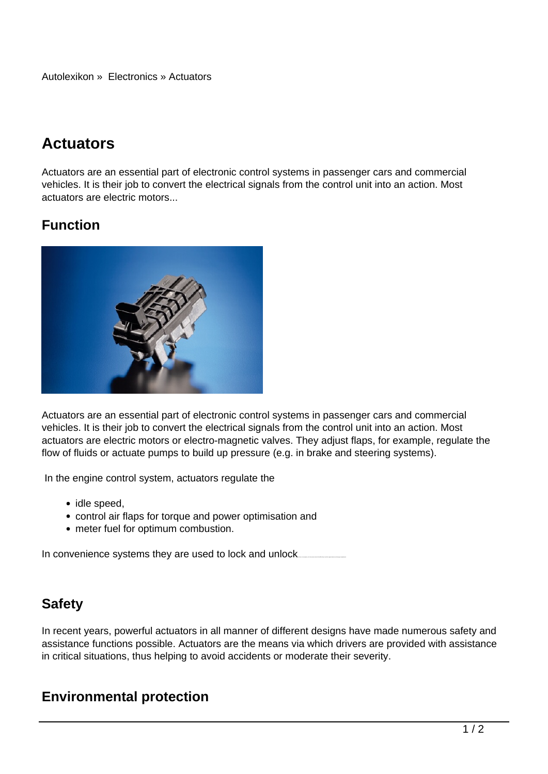Autolexikon » Electronics » Actuators

# **Actuators**

Actuators are an essential part of electronic control systems in passenger cars and commercial vehicles. It is their job to convert the electrical signals from the control unit into an action. Most actuators are electric motors...

## **Function**



Actuators are an essential part of electronic control systems in passenger cars and commercial vehicles. It is their job to convert the electrical signals from the control unit into an action. Most actuators are electric motors or electro-magnetic valves. They adjust flaps, for example, regulate the flow of fluids or actuate pumps to build up pressure (e.g. in brake and steering systems).

In the engine control system, actuators regulate the

- idle speed,
- control air flaps for torque and power optimisation and
- meter fuel for optimum combustion.

In convenience systems they are used to lock and unlock.

### **Safety**

In recent years, powerful actuators in all manner of different designs have made numerous safety and assistance functions possible. Actuators are the means via which drivers are provided with assistance in critical situations, thus helping to avoid accidents or moderate their severity.

### **Environmental protection**